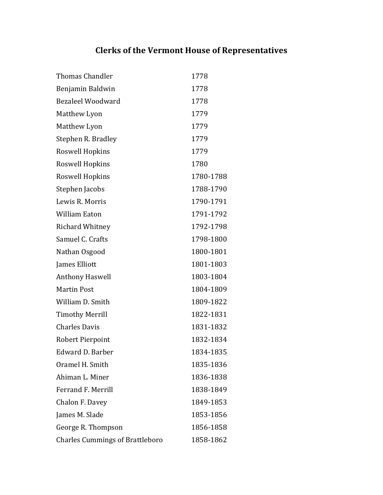## **Clerks'of'the'Vermont House'of'Representatives**

| <b>Thomas Chandler</b>                 | 1778      |
|----------------------------------------|-----------|
| Benjamin Baldwin                       | 1778      |
| <b>Bezaleel Woodward</b>               | 1778      |
| Matthew Lyon                           | 1779      |
| Matthew Lyon                           | 1779      |
| Stephen R. Bradley                     | 1779      |
| Roswell Hopkins                        | 1779      |
| Roswell Hopkins                        | 1780      |
| Roswell Hopkins                        | 1780-1788 |
| Stephen Jacobs                         | 1788-1790 |
| Lewis R. Morris                        | 1790-1791 |
| <b>William Eaton</b>                   | 1791-1792 |
| Richard Whitney                        | 1792-1798 |
| Samuel C. Crafts                       | 1798-1800 |
| Nathan Osgood                          | 1800-1801 |
| James Elliott                          | 1801-1803 |
| <b>Anthony Haswell</b>                 | 1803-1804 |
| <b>Martin Post</b>                     | 1804-1809 |
| William D. Smith                       | 1809-1822 |
| <b>Timothy Merrill</b>                 | 1822-1831 |
| <b>Charles Davis</b>                   | 1831-1832 |
| Robert Pierpoint                       | 1832-1834 |
| Edward D. Barber                       | 1834-1835 |
| Oramel H. Smith                        | 1835-1836 |
| Ahiman L. Miner                        | 1836-1838 |
| <b>Ferrand F. Merrill</b>              | 1838-1849 |
| Chalon F. Davey                        | 1849-1853 |
| James M. Slade                         | 1853-1856 |
| George R. Thompson                     | 1856-1858 |
| <b>Charles Cummings of Brattleboro</b> | 1858-1862 |